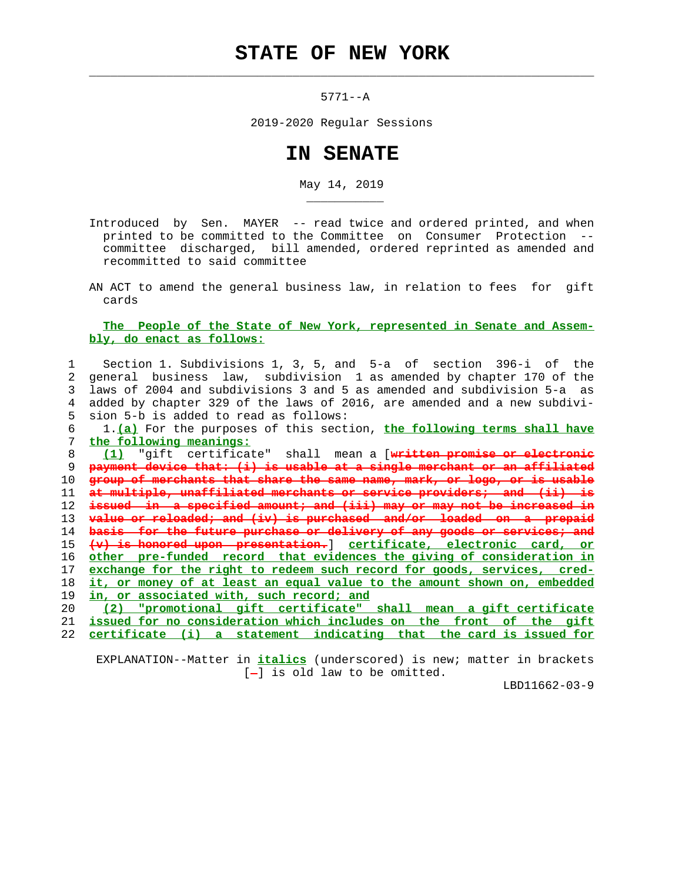## **STATE OF NEW YORK**

 $\mathcal{L}_\text{max} = \frac{1}{2} \sum_{i=1}^{n} \frac{1}{2} \sum_{i=1}^{n} \frac{1}{2} \sum_{i=1}^{n} \frac{1}{2} \sum_{i=1}^{n} \frac{1}{2} \sum_{i=1}^{n} \frac{1}{2} \sum_{i=1}^{n} \frac{1}{2} \sum_{i=1}^{n} \frac{1}{2} \sum_{i=1}^{n} \frac{1}{2} \sum_{i=1}^{n} \frac{1}{2} \sum_{i=1}^{n} \frac{1}{2} \sum_{i=1}^{n} \frac{1}{2} \sum_{i=1}^{n} \frac{1$ 

\_\_\_\_\_\_\_\_\_\_\_

5771--A

2019-2020 Regular Sessions

## **IN SENATE**

May 14, 2019

- Introduced by Sen. MAYER -- read twice and ordered printed, and when printed to be committed to the Committee on Consumer Protection - committee discharged, bill amended, ordered reprinted as amended and recommitted to said committee
- AN ACT to amend the general business law, in relation to fees for gift cards

## **The People of the State of New York, represented in Senate and Assem bly, do enact as follows:**

 1 Section 1. Subdivisions 1, 3, 5, and 5-a of section 396-i of the 2 general business law, subdivision 1 as amended by chapter 170 of the 3 laws of 2004 and subdivisions 3 and 5 as amended and subdivision 5-a as 4 added by chapter 329 of the laws of 2016, are amended and a new subdivi- 5 sion 5-b is added to read as follows:

 6 1.**(a)** For the purposes of this section, **the following terms shall have** 7 **the following meanings:**

**(1)** "gift certificate" shall mean a [**written promise or electronic payment device that: (i) is usable at a single merchant or an affiliated group of merchants that share the same name, mark, or logo, or is usable at multiple, unaffiliated merchants or service providers; and (ii) is issued in a specified amount; and (iii) may or may not be increased in value or reloaded; and (iv) is purchased and/or loaded on a prepaid basis for the future purchase or delivery of any goods or services; and (v) is honored upon presentation.**] **certificate, electronic card, or other pre-funded record that evidences the giving of consideration in exchange for the right to redeem such record for goods, services, cred- it, or money of at least an equal value to the amount shown on, embedded in, or associated with, such record; and (2) "promotional gift certificate" shall mean a gift certificate**

 21 **issued for no consideration which includes on the front of the gift** 22 **certificate (i) a statement indicating that the card is issued for**

 EXPLANATION--Matter in **italics** (underscored) is new; matter in brackets  $[-]$  is old law to be omitted.

LBD11662-03-9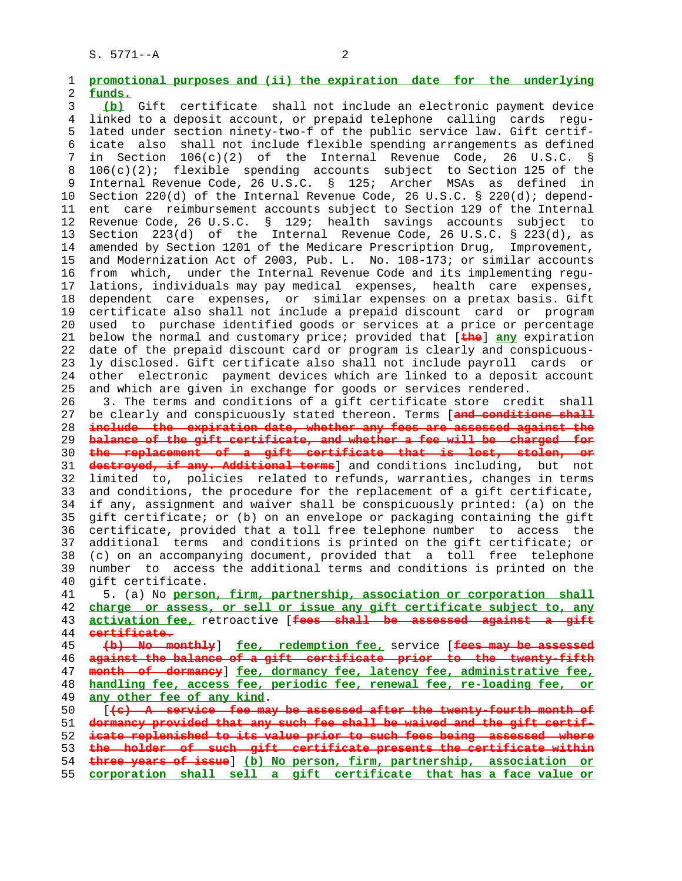1 **promotional purposes and (ii) the expiration date for the underlying** 2 **funds.** 3 **(b)** Gift certificate shall not include an electronic payment device 4 linked to a deposit account, or prepaid telephone calling cards regu- 5 lated under section ninety-two-f of the public service law. Gift certif- 6 icate also shall not include flexible spending arrangements as defined 7 in Section 106(c)(2) of the Internal Revenue Code, 26 U.S.C. § 8 106(c)(2); flexible spending accounts subject to Section 125 of the 9 Internal Revenue Code, 26 U.S.C. § 125; Archer MSAs as defined in 10 Section 220(d) of the Internal Revenue Code, 26 U.S.C. § 220(d); depend- 11 ent care reimbursement accounts subject to Section 129 of the Internal 12 Revenue Code, 26 U.S.C. § 129; health savings accounts subject to 13 Section 223(d) of the Internal Revenue Code, 26 U.S.C. § 223(d), as 14 amended by Section 1201 of the Medicare Prescription Drug, Improvement, 15 and Modernization Act of 2003, Pub. L. No. 108-173; or similar accounts 16 from which, under the Internal Revenue Code and its implementing regu- 17 lations, individuals may pay medical expenses, health care expenses, 18 dependent care expenses, or similar expenses on a pretax basis. Gift 19 certificate also shall not include a prepaid discount card or program 20 used to purchase identified goods or services at a price or percentage 21 below the normal and customary price; provided that [**the**] **any** expiration 22 date of the prepaid discount card or program is clearly and conspicuous- 23 ly disclosed. Gift certificate also shall not include payroll cards or 24 other electronic payment devices which are linked to a deposit account 25 and which are given in exchange for goods or services rendered. 26 3. The terms and conditions of a gift certificate store credit shall 27 be clearly and conspicuously stated thereon. Terms [**and conditions shall** 28 **include the expiration date, whether any fees are assessed against the** 29 **balance of the gift certificate, and whether a fee will be charged for** 30 **the replacement of a gift certificate that is lost, stolen, or** 31 **destroyed, if any. Additional terms**] and conditions including, but not 32 limited to, policies related to refunds, warranties, changes in terms 33 and conditions, the procedure for the replacement of a gift certificate, 34 if any, assignment and waiver shall be conspicuously printed: (a) on the 35 gift certificate; or (b) on an envelope or packaging containing the gift 36 certificate, provided that a toll free telephone number to access the 37 additional terms and conditions is printed on the gift certificate; or 38 (c) on an accompanying document, provided that a toll free telephone 39 number to access the additional terms and conditions is printed on the 40 gift certificate. 41 5. (a) No **person, firm, partnership, association or corporation shall** 42 **charge or assess, or sell or issue any gift certificate subject to, any** 43 **activation fee,** retroactive [**fees shall be assessed against a gift** 44 **certificate.** 45 **(b) No monthly**] **fee, redemption fee,** service [**fees may be assessed** 46 **against the balance of a gift certificate prior to the twenty-fifth** 47 **month of dormancy**] **fee, dormancy fee, latency fee, administrative fee,** 48 **handling fee, access fee, periodic fee, renewal fee, re-loading fee, or** 49 **any other fee of any kind**. 50 [**(c) A service fee may be assessed after the twenty-fourth month of** 51 **dormancy provided that any such fee shall be waived and the gift certif-** 52 **icate replenished to its value prior to such fees being assessed where** 53 **the holder of such gift certificate presents the certificate within** 54 **three years of issue**] **(b) No person, firm, partnership, association or** 55 **corporation shall sell a gift certificate that has a face value or**